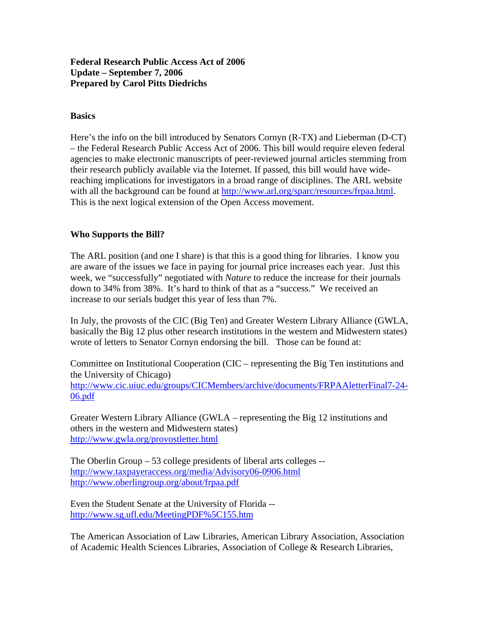# **Federal Research Public Access Act of 2006 Update – September 7, 2006 Prepared by Carol Pitts Diedrichs**

## **Basics**

Here's the info on the bill introduced by Senators Cornyn (R-TX) and Lieberman (D-CT) – the Federal Research Public Access Act of 2006. This bill would require eleven federal agencies to make electronic manuscripts of peer-reviewed journal articles stemming from their research publicly available via the Internet. If passed, this bill would have widereaching implications for investigators in a broad range of disciplines. The ARL website with all the background can be found at http://www.arl.org/sparc/resources/frpaa.html. This is the next logical extension of the Open Access movement.

## **Who Supports the Bill?**

The ARL position (and one I share) is that this is a good thing for libraries. I know you are aware of the issues we face in paying for journal price increases each year. Just this week, we "successfully" negotiated with *Nature* to reduce the increase for their journals down to 34% from 38%. It's hard to think of that as a "success." We received an increase to our serials budget this year of less than 7%.

In July, the provosts of the CIC (Big Ten) and Greater Western Library Alliance (GWLA, basically the Big 12 plus other research institutions in the western and Midwestern states) wrote of letters to Senator Cornyn endorsing the bill. Those can be found at:

Committee on Institutional Cooperation (CIC – representing the Big Ten institutions and the University of Chicago) http://www.cic.uiuc.edu/groups/CICMembers/archive/documents/FRPAAletterFinal7-24- 06.pdf

Greater Western Library Alliance (GWLA – representing the Big 12 institutions and others in the western and Midwestern states) http://www.gwla.org/provostletter.html

The Oberlin Group – 53 college presidents of liberal arts colleges - http://www.taxpayeraccess.org/media/Advisory06-0906.html http://www.oberlingroup.org/about/frpaa.pdf

Even the Student Senate at the University of Florida - http://www.sg.ufl.edu/MeetingPDF%5C155.htm

The American Association of Law Libraries, American Library Association, Association of Academic Health Sciences Libraries, Association of College & Research Libraries,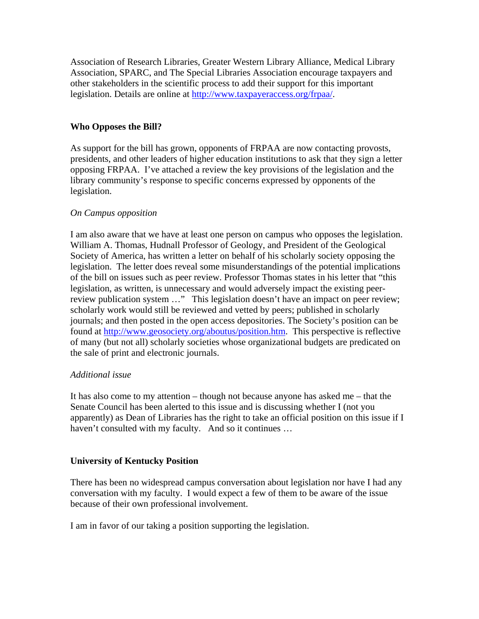Association of Research Libraries, Greater Western Library Alliance, Medical Library Association, SPARC, and The Special Libraries Association encourage taxpayers and other stakeholders in the scientific process to add their support for this important legislation. Details are online at http://www.taxpayeraccess.org/frpaa/.

# **Who Opposes the Bill?**

As support for the bill has grown, opponents of FRPAA are now contacting provosts, presidents, and other leaders of higher education institutions to ask that they sign a letter opposing FRPAA. I've attached a review the key provisions of the legislation and the library community's response to specific concerns expressed by opponents of the legislation.

#### *On Campus opposition*

I am also aware that we have at least one person on campus who opposes the legislation. William A. Thomas, Hudnall Professor of Geology, and President of the Geological Society of America, has written a letter on behalf of his scholarly society opposing the legislation. The letter does reveal some misunderstandings of the potential implications of the bill on issues such as peer review. Professor Thomas states in his letter that "this legislation, as written, is unnecessary and would adversely impact the existing peerreview publication system ..." This legislation doesn't have an impact on peer review; scholarly work would still be reviewed and vetted by peers; published in scholarly journals; and then posted in the open access depositories. The Society's position can be found at http://www.geosociety.org/aboutus/position.htm. This perspective is reflective of many (but not all) scholarly societies whose organizational budgets are predicated on the sale of print and electronic journals.

#### *Additional issue*

It has also come to my attention – though not because anyone has asked me – that the Senate Council has been alerted to this issue and is discussing whether I (not you apparently) as Dean of Libraries has the right to take an official position on this issue if I haven't consulted with my faculty. And so it continues ...

#### **University of Kentucky Position**

There has been no widespread campus conversation about legislation nor have I had any conversation with my faculty. I would expect a few of them to be aware of the issue because of their own professional involvement.

I am in favor of our taking a position supporting the legislation.